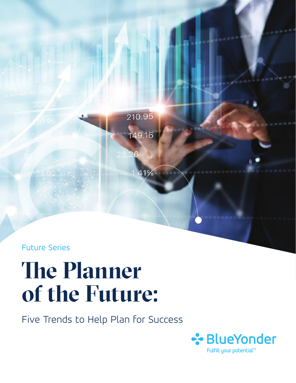Future Series

18.92

# **The Planner of the Future:**

Five Trends to Help Plan for Success

210.95

149.16

41%

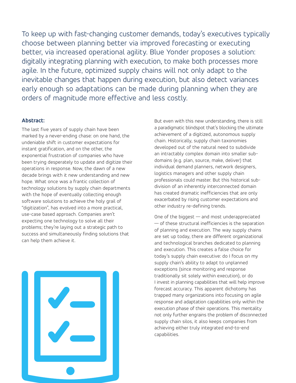To keep up with fast-changing customer demands, today's executives typically choose between planning better via improved forecasting or executing better, via increased operational agility. Blue Yonder proposes a solution: digitally integrating planning with execution, to make both processes more agile. In the future, optimized supply chains will not only adapt to the inevitable changes that happen during execution, but also detect variances early enough so adaptations can be made during planning when they are orders of magnitude more effective and less costly.

#### **Abstract:**

The last five years of supply chain have been marked by a never-ending chase: on one hand, the undeniable shift in customer expectations for instant gratification, and on the other, the exponential frustration of companies who have been trying desperately to update and digitize their operations in response. Now, the dawn of a new decade brings with it new understanding and new hope. What once was a frantic collection of technology solutions by supply chain departments with the hope of eventually collecting enough software solutions to achieve the holy grail of "digitization", has evolved into a more practical, use-case based approach. Companies aren't expecting one technology to solve all their problems; they're laying out a strategic path to success and simultaneously finding solutions that can help them achieve it.



But even with this new understanding, there is still a paradigmatic blindspot that's blocking the ultimate achievement of a digitized, autonomous supply chain. Historically, supply chain taxonomies developed out of the natural need to subdivide an intractably complex domain into smaller subdomains (e.g. plan, source, make, deliver) that individual demand planners, network designers, logistics managers and other supply chain professionals could master. But this historical subdivision of an inherently interconnected domain has created dramatic inefficiencies that are only exacerbated by rising customer expectations and other industry re-defining trends.

One of the biggest — and most underappreciated — of these structural inefficiencies is the separation of planning and execution. The way supply chains are set up today, there are different organizational and technological branches dedicated to planning and execution. This creates a false choice for today's supply chain executive: do I focus on my supply chain's ability to adapt to unplanned exceptions (since monitoring and response traditionally sit solely within execution), or do I invest in planning capabilities that will help improve forecast accuracy. This apparent dichotomy has trapped many organizations into focusing on agile response and adaptation capabilities only within the execution phase of their operations. This mentality not only further engrains the problem of disconnected supply chain silos, it also keeps companies from achieving either truly integrated end-to-end capabilities.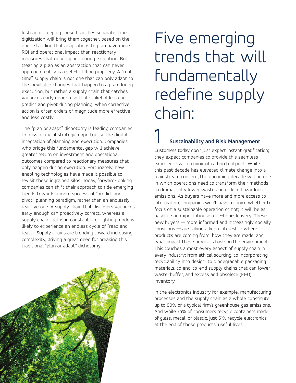Instead of keeping these branches separate, true digitization will bring them together, based on the understanding that adaptations to plan have more ROI and operational impact than reactionary measures that only happen during execution. But treating a plan as an abstraction that can never approach reality is a self-fulfilling prophecy. A "real time" supply chain is not one that can only adapt to the inevitable changes that happen to a plan during execution, but rather, a supply chain that catches variances early enough so that stakeholders can predict and pivot during planning, when corrective action is often orders of magnitude more effective and less costly.

The "plan or adapt" dichotomy is leading companies to miss a crucial strategic opportunity: the digital integration of planning and execution. Companies who bridge this fundamental gap will achieve greater return on investment and operational outcomes compared to reactionary measures that only happen during execution. Fortunately, new enabling technologies have made it possible to revisit these ingrained silos. Today, forward-looking companies can shift their approach to ride emerging trends towards a more successful "predict and pivot" planning paradigm, rather than an endlessly reactive one. A supply chain that discovers variances early enough can proactively correct, whereas a supply chain that is in constant fire-fighting mode is likely to experience an endless cycle of "read and react." Supply chains are trending toward increasing complexity, driving a great need for breaking this traditional "plan or adapt" dichotomy.

# Five emerging trends that will fundamentally redefine supply chain:

#### 1 **Sustainability and Risk Management**

Customers today don't just expect instant gratification; they expect companies to provide this seamless experience with a minimal carbon footprint. While this past decade has elevated climate change into a mainstream concern, the upcoming decade will be one in which operations need to transform their methods to dramatically lower waste and reduce hazardous emissions. As buyers have more and more access to information, companies won't have a choice whether to focus on a sustainable operation or not; it will be as baseline an expectation as one-hour-delivery. These new buyers — more informed and increasingly socially conscious — are taking a keen interest in where products are coming from, how they are made, and what impact these products have on the environment. This touches almost every aspect of supply chain in every industry: from ethical sourcing, to incorporating recyclability into design, to biodegradable packaging materials, to end-to-end supply chains that can lower waste, buffer, and excess and obsolete (E&O) inventory.

In the electronics industry for example, manufacturing processes and the supply chain as a whole constitute up to 80% of a typical firm's greenhouse gas emissions. And while 74% of consumers recycle containers made of glass, metal, or plastic, just 51% recycle electronics at the end of those products' useful lives.

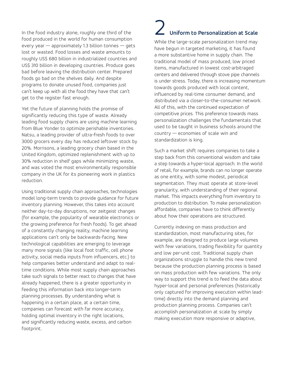In the food industry alone, roughly one third of the food produced in the world for human consumption every year  $-$  approximately 1.3 billion tonnes  $-$  gets lost or wasted. Food losses and waste amounts to roughly US\$ 680 billion in industrialized countries and US\$ 310 billion in developing countries. Produce goes bad before leaving the distribution center. Prepared foods go bad on the shelves daily. And despite programs to donate unused food, companies just can't keep up with all the food they have that can't get to the register fast enough.

Yet the future of planning holds the promise of significantly reducing this type of waste. Already leading food supply chains are using machine learning from Blue Yonder to optimize perishable inventories. Natsu, a leading provider of ultra-fresh foods to over 3000 grocers every day has reduced leftover stock by 20%. Morrisons, a leading grocery chain based in the United Kingdom, optimized replenishment with up to 30% reduction in shelf gaps while minimizing waste, and was voted the most environmentally responsible company in the UK for its pioneering work in plastics reduction.

Using traditional supply chain approaches, technologies model long-term trends to provide guidance for future inventory planning. However, this takes into account neither day-to-day disruptions, nor zeitgeist changes (for example, the popularity of wearable electronics or the growing preference for fresh foods). To get ahead of a constantly changing reality, machine learning applications can't only be backwards-facing. New technological capabilities are emerging to leverage many more signals (like local foot traffic, cell phone activity, social media inputs from influencers, etc.) to help companies better understand and adapt to realtime conditions. While most supply chain approaches take such signals to better react to changes that have already happened, there is a greater opportunity in feeding this information back into longer-term planning processes. By understanding what is happening in a certain place, at a certain time, companies can forecast with far more accuracy, holding optimal inventory in the right locations, and significantly reducing waste, excess, and carbon footprint.

### 2 **Uniform to Personalization at Scale**

While the large-scale personalization trend may have begun in targeted marketing, it has found a more substantive home in supply chain. The traditional model of mass produced, low priced items, manufactured in lowest cost-arbitraged centers and delivered through stove pipe channels is under stress. Today, there is increasing momentum towards goods produced with local content, influenced by real-time consumer demand, and distributed via a closer-to-the-consumer network. All of this, with the continued expectation of competitive prices. This preference towards mass personalization challenges the fundamentals that used to be taught in business schools around the country — economies of scale win and standardization is king.

Such a market shift requires companies to take a step back from this conventional wisdom and take a step towards a hyper-local approach. In the world of retail, for example, brands can no longer operate as one entity, with some modest, periodical segmentation. They must operate at store-level granularity, with understanding of their regional market. This impacts everything from inventory to production to distribution. To make personalization affordable, companies have to think differently about how their operations are structured.

Currently indexing on mass production and standardization, most manufacturing sites, for example, are designed to produce large volumes with few variations, trading flexibility for quantity and low per-unit cost. Traditional supply chain organizations struggle to handle this new trend because the production planning process is based on mass production with few variations. The only way to support this trend is to feed the data about hyper-local and personal preferences (historically only captured for improving execution within leadtime) directly into the demand planning and production planning process. Companies can't accomplish personalization at scale by simply making execution more responsive or adaptive,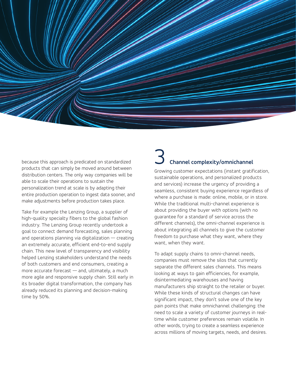

because this approach is predicated on standardized products that can simply be moved around between distribution centers. The only way companies will be able to scale their operations to sustain the personalization trend at scale is by adapting their entire production operation to ingest data sooner, and make adjustments before production takes place.

Take for example the Lenzing Group, a supplier of high-quality specialty fibers to the global fashion industry. The Lenzing Group recently undertook a goal to connect demand forecasting, sales planning and operations planning via digitalization — creating an extremely accurate, efficient end-to-end supply chain. This new level of transparency and visibility helped Lenzing stakeholders understand the needs of both customers and end consumers, creating a more accurate forecast — and, ultimately, a much more agile and responsive supply chain. Still early in its broader digital transformation, the company has already reduced its planning and decision-making time by 50%.

### 3 **Channel complexity/omnichannel**

Growing customer expectations (instant gratification, sustainable operations, and personalized products and services) increase the urgency of providing a seamless, consistent buying experience regardless of where a purchase is made: online, mobile, or in store. While the traditional multi-channel experience is about providing the buyer with options (with no guarantee for a standard of service across the different channels), the omni-channel experience is about integrating all channels to give the customer freedom to purchase what they want, where they want, when they want.

To adapt supply chains to omni-channel needs, companies must remove the silos that currently separate the different sales channels. This means looking at ways to gain efficiencies, for example, disintermediating warehouses and having manufacturers ship straight to the retailer or buyer. While these kinds of structural changes can have significant impact, they don't solve one of the key pain points that make omnichannel challenging: the need to scale a variety of customer journeys in realtime while customer preferences remain volatile. In other words, trying to create a seamless experience across millions of moving targets, needs, and desires.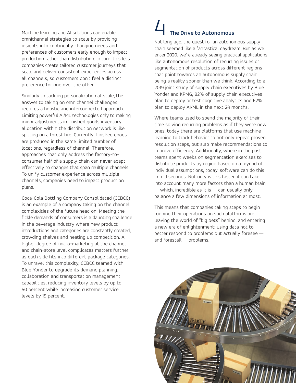Machine learning and AI solutions can enable omnichannel strategies to scale by providing insights into continually changing needs and preferences of customers early enough to impact production rather than distribution. In turn, this lets companies create tailored customer journeys that scale and deliver consistent experiences across all channels, so customers don't feel a distinct preference for one over the other.

Similarly to tackling personalization at scale, the answer to taking on omnichannel challenges requires a holistic and interconnected approach. Limiting powerful AI/ML technologies only to making minor adjustments in finished goods inventory allocation within the distribution network is like spitting on a forest fire. Currently, finished goods are produced in the same limited number of locations, regardless of channel. Therefore, approaches that only address the factory-toconsumer half of a supply chain can never adapt effectively to changes that span multiple channels. To unify customer experience across multiple channels, companies need to impact production plans.

Coca-Cola Bottling Company Consolidated (CCBCC) is an example of a company taking on the channel complexities of the future head on. Meeting the fickle demands of consumers is a daunting challenge in the beverage industry where new product introductions and categories are constantly created, crowding shelves and heating up competition. A higher degree of micro-marketing at the channel and chain-store level complicates matters further as each side fits into different package categories. To unravel this complexity, CCBCC teamed with Blue Yonder to upgrade its demand planning, collaboration and transportation management capabilities, reducing inventory levels by up to 50 percent while increasing customer service levels by 15 percent.

# 4 **The Drive to Autonomous**

Not long ago, the quest for an autonomous supply chain seemed like a fantastical daydream. But as we enter 2020, we're already seeing practical applications like autonomous resolution of recurring issues or segmentation of products across different regions that point towards an autonomous supply chain being a reality sooner than we think. According to a 2019 joint study of supply chain executives by Blue Yonder and KPMG, 82% of supply chain executives plan to deploy or test cognitive analytics and 62% plan to deploy AI/ML in the next 24 months.

Where teams used to spend the majority of their time solving recurring problems as if they were new ones, today there are platforms that use machine learning to track behavior to not only repeat proven resolution steps, but also make recommendations to improve efficiency. Additionally, where in the past teams spent weeks on segmentation exercises to distribute products by region based on a myriad of individual assumptions, today, software can do this in milliseconds. Not only is this faster, it can take into account many more factors than a human brain  $-$  which, incredible as it is  $-$  can usually only balance a few dimensions of information at most.

This means that companies taking steps to begin running their operations on such platforms are leaving the world of "big bets" behind, and entering a new era of enlightenment: using data not to better respond to problems but actually foresee and forestall — problems.

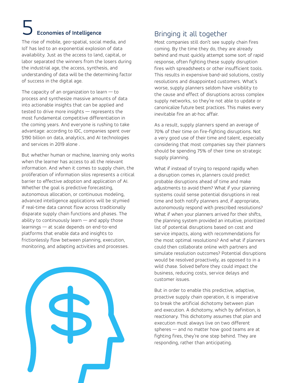# 5 **Economies of Intelligence**

The rise of mobile, geo-spatial, social media, and IoT has led to an exponential explosion of data availability. Just as the access to land, capital, or labor separated the winners from the losers during the industrial age, the access, synthesis, and understanding of data will be the determining factor of success in the digital age.

The capacity of an organization to learn  $-$  to process and synthesize massive amounts of data into actionable insights that can be applied and tested to drive more insights — represents the most fundamental competitive differentiation in the coming years. And everyone is rushing to take advantage: according to IDC, companies spent over \$190 billion on data, analytics, and AI technologies and services in 2019 alone .

But whether human or machine, learning only works when the learner has access to all the relevant information. And when it comes to supply chain, the proliferation of information silos represents a critical barrier to effective adoption and application of AI. Whether the goal is predictive forecasting, autonomous allocation, or continuous modeling, advanced intelligence applications will be stymied if real-time data cannot flow across traditionally disparate supply chain functions and phases. The ability to continuously learn — and apply those learnings — at scale depends on end-to-end platforms that enable data and insights to frictionlessly flow between planning, execution, monitoring, and adapting activities and processes.



#### Bringing it all together

Most companies still don't see supply chain fires coming. By the time they do, they are already behind and must quickly attempt some sort of rapid response, often fighting these supply disruption fires with spreadsheets or other insufficient tools. This results in expensive band-aid solutions, costly resolutions and disappointed customers. What's worse, supply planners seldom have visibility to the cause and effect of disruptions across complex supply networks, so they're not able to update or canonicalize future best practices. This makes every inevitable fire an at-hoc affair.

As a result, supply planners spend an average of 70% of their time on fire-fighting disruptions. Not a very good use of their time and talent, especially considering that most companies say their planners should be spending 75% of their time on strategic supply planning.

What if instead of trying to respond rapidly when a disruption comes in, planners could predict probable disruptions ahead of time and make adjustments to avoid them? What if your planning systems could sense potential disruptions in real time and both notify planners and, if appropriate, autonomously respond with prescribed resolutions? What if when your planners arrived for their shifts, the planning system provided an intuitive, prioritized list of potential disruptions based on cost and service impacts, along with recommendations for the most optimal resolutions? And what if planners could then collaborate online with partners and simulate resolution outcomes? Potential disruptions would be resolved proactively, as opposed to in a wild chase. Solved before they could impact the business, reducing costs, service delays and customer issues.

But in order to enable this predictive, adaptive, proactive supply chain operation, it is imperative to break the artificial dichotomy between plan and execution. A dichotomy, which by definition, is reactionary. This dichotomy assumes that plan and execution must always live on two different spheres — and no matter how good teams are at fighting fires, they're one step behind. They are responding, rather than anticipating.